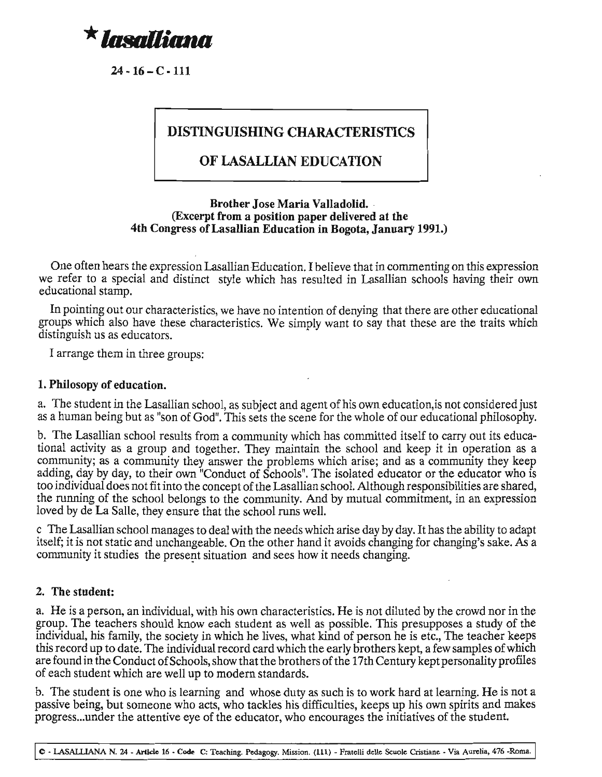

 $24 \cdot 16 - C \cdot 111$ 

# **DISTINGUISHING CHARACTERISTICS**

## **OF LASALLIAN EDUCATION**

## **Brother Jose Maria Valladolid.** . **(Excerpt from a position paper delivered at the 4th Congress** ofLasallian **Education in Bogota, January 1991.)**

One often hears the expression Lasallian Education. I believe that in commenting on this expression we refer to a special and distinct style which has resulted in Lasallian schools having their own educational stamp.

In pointing out our characteristics, we have no intention of denying that there are other educational groups which also have these characteristics. We simply want to say that these are the traits which distinguish us as educators.

I arrange them in three groups:

#### **1. Philosopy of education.**

a. The student in the Lasallian school, as subject and agent of his own education,is not considered just as a human being but as "son of God". This sets the scene for the whole of our educational philosophy.

b. The Lasallian school results from a community which has committed itself to carry out its educational activity as a group and together. They maintain the school and keep it in operation as a community; as a community they answer the problems which arise; and as a community they keep adding, day by day, to their own "Conduct of Schools". The isolated educator or the educator who is too individual does not fit into the concept of the Lasallian school. Although responsibilities are shared, the running of the school belongs to the community. And by mutual commitment, in an expression loved by de La Salle, they ensure that the school runs well.

c The Lasallian school manages to deal with the needs which arise day by day. **It** has the ability to adapt itself; it is not static and unchangeable. On the other hand it avoids changing for changing's sake. As a community it studies the present situation and sees how it needs changing.

## 2. **The student:**

a. He is a person, an individual, with his own characteristics. He is not diluted by the crowd nor in the group. The teachers should know each student as well as possible. This presupposes a study of the individual, his family, the society in which he lives, what kind of person he is etc., The teacher keeps this record up to date. The individual record card which the early brothers kept, a few samples ofwhich are found in the Conduct of Schools, show that the brothers of the 17th Century kept personality profiles of each student which are well up to modern standards.

b. The student is one who is learning and whose duty as such is to work hard at learning. He is not a passive being, but someone who acts, who tackles his difficulties, keeps up his own spirits and makes progress...under the attentive eye of the educator, who encourages the initiatives of the student.